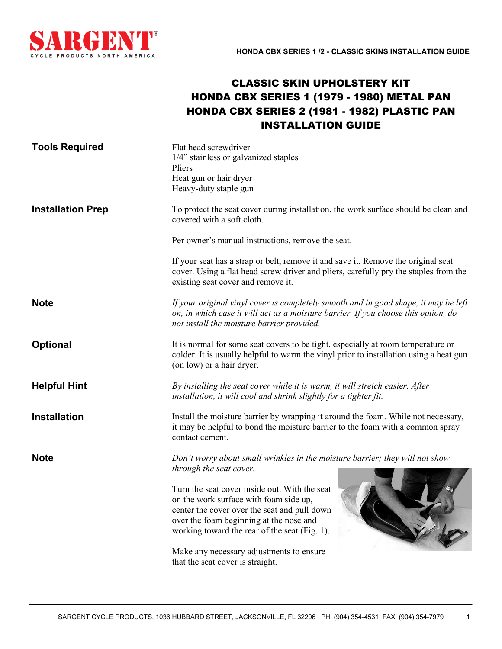

## CLASSIC SKIN UPHOLSTERY KIT HONDA CBX SERIES 1 (1979 - 1980) METAL PAN HONDA CBX SERIES 2 (1981 - 1982) PLASTIC PAN INSTALLATION GUIDE

| <b>Tools Required</b>    | Flat head screwdriver<br>1/4" stainless or galvanized staples<br>Pliers<br>Heat gun or hair dryer<br>Heavy-duty staple gun                                                                                                          |  |
|--------------------------|-------------------------------------------------------------------------------------------------------------------------------------------------------------------------------------------------------------------------------------|--|
| <b>Installation Prep</b> | To protect the seat cover during installation, the work surface should be clean and<br>covered with a soft cloth.                                                                                                                   |  |
|                          | Per owner's manual instructions, remove the seat.                                                                                                                                                                                   |  |
|                          | If your seat has a strap or belt, remove it and save it. Remove the original seat<br>cover. Using a flat head screw driver and pliers, carefully pry the staples from the<br>existing seat cover and remove it.                     |  |
| <b>Note</b>              | If your original vinyl cover is completely smooth and in good shape, it may be left<br>on, in which case it will act as a moisture barrier. If you choose this option, do<br>not install the moisture barrier provided.             |  |
| <b>Optional</b>          | It is normal for some seat covers to be tight, especially at room temperature or<br>colder. It is usually helpful to warm the vinyl prior to installation using a heat gun<br>(on low) or a hair dryer.                             |  |
| <b>Helpful Hint</b>      | By installing the seat cover while it is warm, it will stretch easier. After<br>installation, it will cool and shrink slightly for a tighter fit.                                                                                   |  |
| <b>Installation</b>      | Install the moisture barrier by wrapping it around the foam. While not necessary,<br>it may be helpful to bond the moisture barrier to the foam with a common spray<br>contact cement.                                              |  |
| <b>Note</b>              | Don't worry about small wrinkles in the moisture barrier; they will not show<br>through the seat cover.                                                                                                                             |  |
|                          | Turn the seat cover inside out. With the seat<br>on the work surface with foam side up,<br>center the cover over the seat and pull down<br>over the foam beginning at the nose and<br>working toward the rear of the seat (Fig. 1). |  |
|                          | Make any necessary adjustments to ensure<br>that the seat cover is straight.                                                                                                                                                        |  |